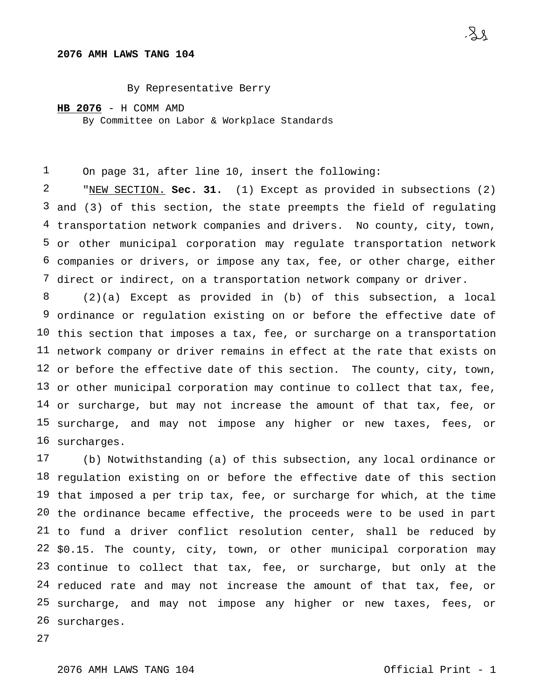## **AMH LAWS TANG 104**

By Representative Berry

**HB 2076** - H COMM AMD

By Committee on Labor & Workplace Standards

 On page 31, after line 10, insert the following:

 and (3) of this section, the state preempts the field of regulating transportation network companies and drivers. No county, city, town, or other municipal corporation may regulate transportation network companies or drivers, or impose any tax, fee, or other charge, either direct or indirect, on a transportation network company or driver. "NEW SECTION. **Sec. 31.** (1) Except as provided in subsections (2)

 ordinance or regulation existing on or before the effective date of this section that imposes a tax, fee, or surcharge on a transportation network company or driver remains in effect at the rate that exists on or before the effective date of this section. The county, city, town, or other municipal corporation may continue to collect that tax, fee, or surcharge, but may not increase the amount of that tax, fee, or surcharge, and may not impose any higher or new taxes, fees, or surcharges. (2)(a) Except as provided in (b) of this subsection, a local

 18 regulation existing on or before the effective date of this section that imposed a per trip tax, fee, or surcharge for which, at the time the ordinance became effective, the proceeds were to be used in part to fund a driver conflict resolution center, shall be reduced by \$0.15. The county, city, town, or other municipal corporation may continue to collect that tax, fee, or surcharge, but only at the reduced rate and may not increase the amount of that tax, fee, or surcharge, and may not impose any higher or new taxes, fees, or surcharges.(b) Notwithstanding (a) of this subsection, any local ordinance or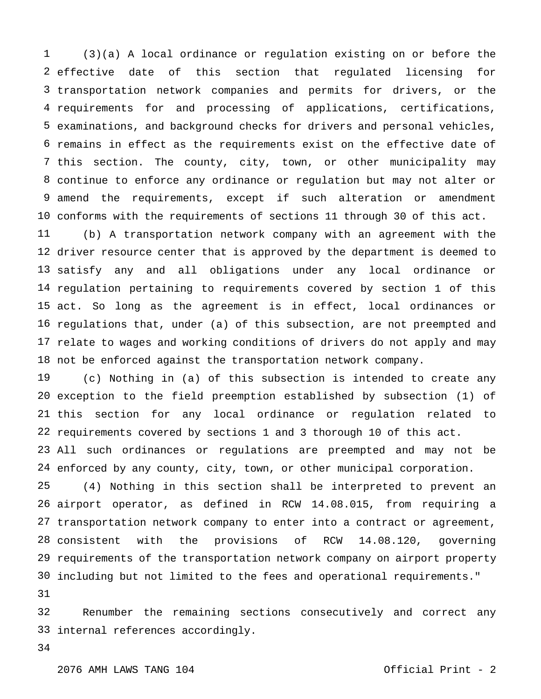2 effective date of transportation network companies and permits for drivers, or the requirements for and processing of applications, certifications, examinations, and background checks for drivers and personal vehicles, remains in effect as the requirements exist on the effective date of this section. The county, city, town, or other municipality may continue to enforce any ordinance or regulation but may not alter or amend the requirements, except if such alteration or amendment conforms with the requirements of sections 11 through 30 of this act. (3)(a) A local ordinance or regulation existing on or before the this section that regulated licensing for

 driver resource center that is approved by the department is deemed to satisfy any and all obligations under any local ordinance or regulation pertaining to requirements covered by section 1 of this act. So long as the agreement is in effect, local ordinances or regulations that, under (a) of this subsection, are not preempted and relate to wages and working conditions of drivers do not apply and may not be enforced against the transportation network company. (b) A transportation network company with an agreement with the

 exception to the field preemption established by subsection (1) of this section for any local ordinance or regulation related to requirements covered by sections 1 and 3 thorough 10 of this act. (c) Nothing in (a) of this subsection is intended to create any

 All such ordinances or regulations are preempted and may not be enforced by any county, city, town, or other municipal corporation.

 airport operator, as defined in RCW 14.08.015, from requiring a transportation network company to enter into a contract or agreement, consistent with the provisions of RCW 14.08.120, governing requirements of the transportation network company on airport property including but not limited to the fees and operational requirements." (4) Nothing in this section shall be interpreted to prevent an

 internal references accordingly.Renumber the remaining sections consecutively and correct any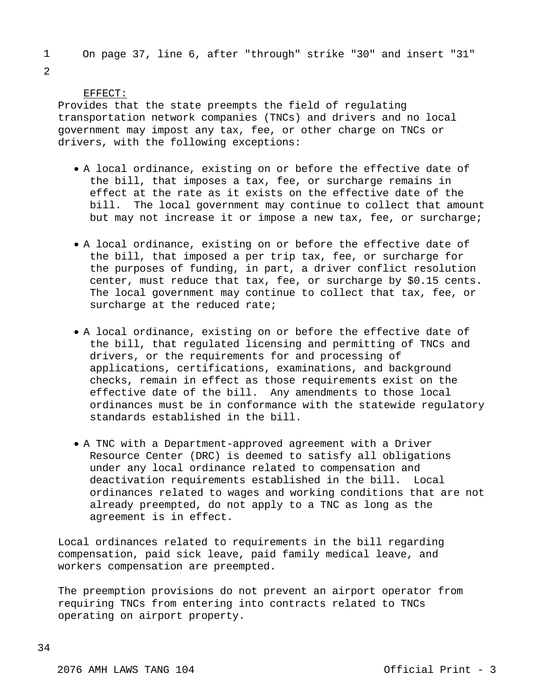1 On page 37, line 6, after "through" strike "30" and insert "31"

2

## EFFECT:

Provides that the state preempts the field of regulating transportation network companies (TNCs) and drivers and no local government may impost any tax, fee, or other charge on TNCs or drivers, with the following exceptions:

- A local ordinance, existing on or before the effective date of the bill, that imposes a tax, fee, or surcharge remains in effect at the rate as it exists on the effective date of the bill. The local government may continue to collect that amount but may not increase it or impose a new tax, fee, or surcharge;
- A local ordinance, existing on or before the effective date of the bill, that imposed a per trip tax, fee, or surcharge for the purposes of funding, in part, a driver conflict resolution center, must reduce that tax, fee, or surcharge by \$0.15 cents. The local government may continue to collect that tax, fee, or surcharge at the reduced rate;
- A local ordinance, existing on or before the effective date of the bill, that regulated licensing and permitting of TNCs and drivers, or the requirements for and processing of applications, certifications, examinations, and background checks, remain in effect as those requirements exist on the effective date of the bill. Any amendments to those local ordinances must be in conformance with the statewide regulatory standards established in the bill.
- A TNC with a Department-approved agreement with a Driver Resource Center (DRC) is deemed to satisfy all obligations under any local ordinance related to compensation and deactivation requirements established in the bill. Local ordinances related to wages and working conditions that are not already preempted, do not apply to a TNC as long as the agreement is in effect.

Local ordinances related to requirements in the bill regarding compensation, paid sick leave, paid family medical leave, and workers compensation are preempted.

The preemption provisions do not prevent an airport operator from requiring TNCs from entering into contracts related to TNCs operating on airport property.